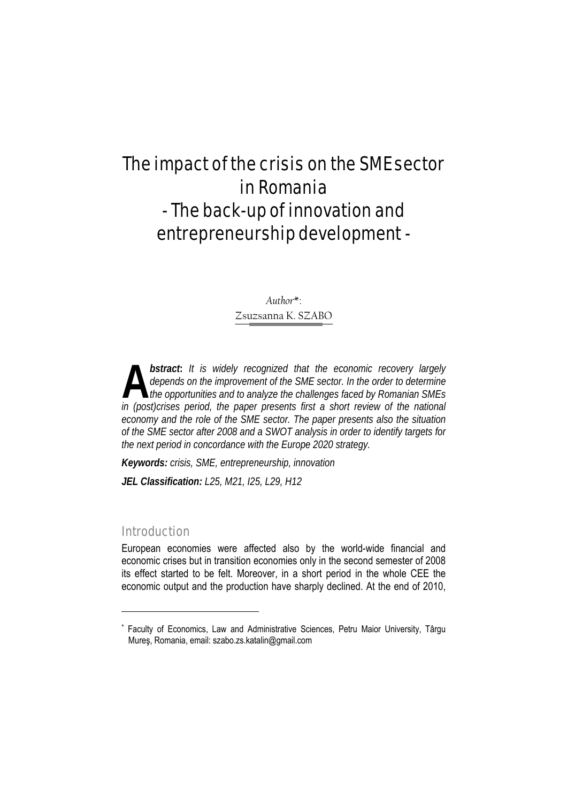# The impact of the crisis on the SME sector in Romania - The back-up of innovation and entrepreneurship development -

*Author*\*: Zsuzsanna K. SZABO

*bstract***:** *It is widely recognized that the economic recovery largely depends on the improvement of the SME sector. In the order to determine the opportunities and to analyze the challenges faced by Romanian SMEs*  **bstract:** It is widely recognized that the economic recovery largely depends on the improvement of the SME sector. In the order to determine the opportunities and to analyze the challenges faced by Romanian SMEs in (post) *economy and the role of the SME sector. The paper presents also the situation of the SME sector after 2008 and a SWOT analysis in order to identify targets for the next period in concordance with the Europe 2020 strategy.* 

*Keywords: crisis, SME, entrepreneurship, innovation JEL Classification: L25, M21, I25, L29, H12*

# Introduction

l

European economies were affected also by the world-wide financial and economic crises but in transition economies only in the second semester of 2008 its effect started to be felt. Moreover, in a short period in the whole CEE the economic output and the production have sharply declined. At the end of 2010,

<sup>\*</sup> Faculty of Economics, Law and Administrative Sciences, Petru Maior University, Târgu Mureş, Romania, email: szabo.zs.katalin@gmail.com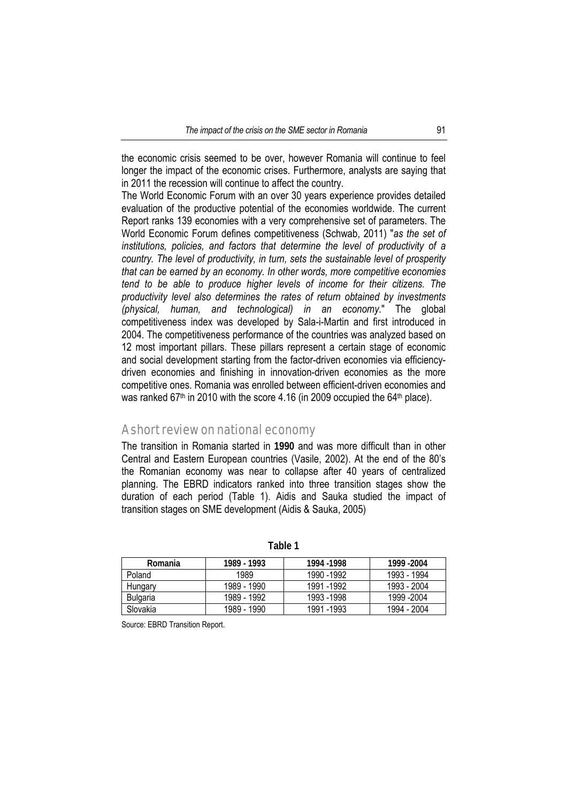the economic crisis seemed to be over, however Romania will continue to feel longer the impact of the economic crises. Furthermore, analysts are saying that in 2011 the recession will continue to affect the country.

The World Economic Forum with an over 30 years experience provides detailed evaluation of the productive potential of the economies worldwide. The current Report ranks 139 economies with a very comprehensive set of parameters. The World Economic Forum defines competitiveness (Schwab, 2011) "*as the set of institutions, policies, and factors that determine the level of productivity of a country. The level of productivity, in turn, sets the sustainable level of prosperity that can be earned by an economy. In other words, more competitive economies tend to be able to produce higher levels of income for their citizens. The productivity level also determines the rates of return obtained by investments (physical, human, and technological) in an economy*." The global competitiveness index was developed by Sala-i-Martin and first introduced in 2004. The competitiveness performance of the countries was analyzed based on 12 most important pillars. These pillars represent a certain stage of economic and social development starting from the factor-driven economies via efficiencydriven economies and finishing in innovation-driven economies as the more competitive ones. Romania was enrolled between efficient-driven economies and was ranked 67<sup>th</sup> in 2010 with the score 4.16 (in 2009 occupied the 64<sup>th</sup> place).

# A short review on national economy

The transition in Romania started in **1990** and was more difficult than in other Central and Eastern European countries (Vasile, 2002). At the end of the 80's the Romanian economy was near to collapse after 40 years of centralized planning. The EBRD indicators ranked into three transition stages show the duration of each period (Table 1). Aidis and Sauka studied the impact of transition stages on SME development (Aidis & Sauka, 2005)

| Romania         | 1989 - 1993 | 1994 - 1998 | 1999 - 2004 |
|-----------------|-------------|-------------|-------------|
| Poland          | 1989        | 1990 - 1992 | 1993 - 1994 |
| Hungary         | 1989 - 1990 | 1991 - 1992 | 1993 - 2004 |
| <b>Bulgaria</b> | 1989 - 1992 | 1993 - 1998 | 1999 -2004  |
| Slovakia        | 1989 - 1990 | 1991 - 1993 | 1994 - 2004 |

**Table 1** 

Source: EBRD Transition Report.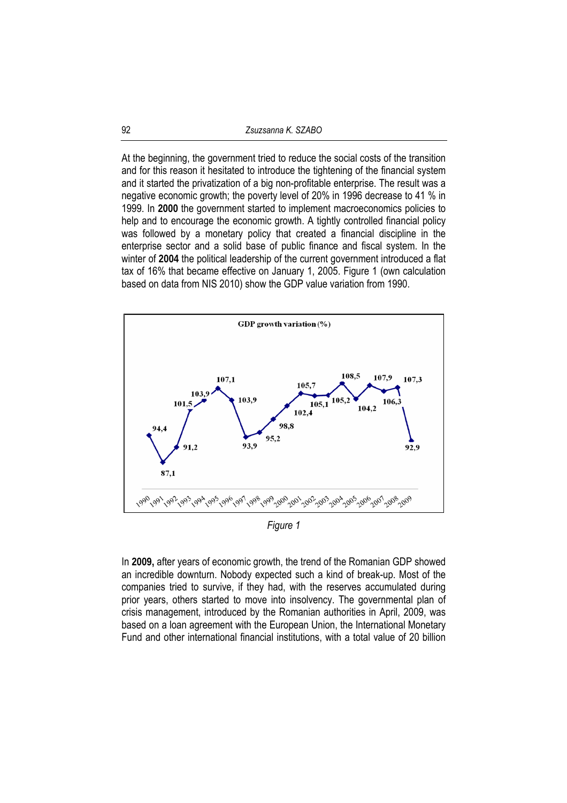At the beginning, the government tried to reduce the social costs of the transition and for this reason it hesitated to introduce the tightening of the financial system and it started the privatization of a big non-profitable enterprise. The result was a negative economic growth; the poverty level of 20% in 1996 decrease to 41 % in 1999. In **2000** the government started to implement macroeconomics policies to help and to encourage the economic growth. A tightly controlled financial policy was followed by a monetary policy that created a financial discipline in the enterprise sector and a solid base of public finance and fiscal system. In the winter of **2004** the political leadership of the current government introduced a flat tax of 16% that became effective on January 1, 2005. Figure 1 (own calculation based on data from NIS 2010) show the GDP value variation from 1990.



*Figure 1* 

In **2009,** after years of economic growth, the trend of the Romanian GDP showed an incredible downturn. Nobody expected such a kind of break-up. Most of the companies tried to survive, if they had, with the reserves accumulated during prior years, others started to move into insolvency. The governmental plan of crisis management, introduced by the Romanian authorities in April, 2009, was based on a loan agreement with the European Union, the International Monetary Fund and other international financial institutions, with a total value of 20 billion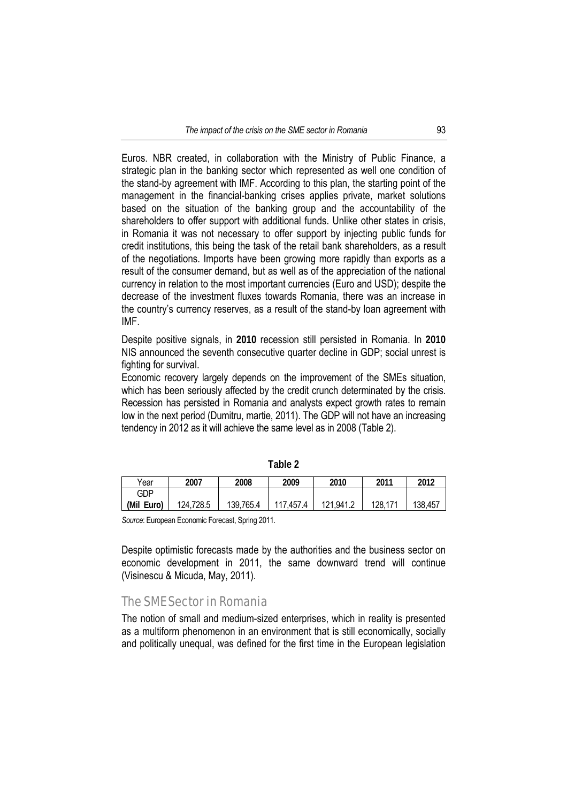Euros. NBR created, in collaboration with the Ministry of Public Finance, a strategic plan in the banking sector which represented as well one condition of the stand-by agreement with IMF. According to this plan, the starting point of the management in the financial-banking crises applies private, market solutions based on the situation of the banking group and the accountability of the shareholders to offer support with additional funds. Unlike other states in crisis, in Romania it was not necessary to offer support by injecting public funds for credit institutions, this being the task of the retail bank shareholders, as a result of the negotiations. Imports have been growing more rapidly than exports as a result of the consumer demand, but as well as of the appreciation of the national currency in relation to the most important currencies (Euro and USD); despite the decrease of the investment fluxes towards Romania, there was an increase in the country's currency reserves, as a result of the stand-by loan agreement with IMF.

Despite positive signals, in **2010** recession still persisted in Romania. In **2010** NIS announced the seventh consecutive quarter decline in GDP; social unrest is fighting for survival.

Economic recovery largely depends on the improvement of the SMEs situation, which has been seriously affected by the credit crunch determinated by the crisis. Recession has persisted in Romania and analysts expect growth rates to remain low in the next period (Dumitru, martie, 2011). The GDP will not have an increasing tendency in 2012 as it will achieve the same level as in 2008 (Table 2).

| Year       | 2007      | 2008      | 2009      | 2010      | 2011    | 2012    |
|------------|-----------|-----------|-----------|-----------|---------|---------|
| GDP        |           |           |           |           |         |         |
| (Mil Euro) | 124,728.5 | 139,765.4 | 117,457.4 | 121,941.2 | 128,171 | 138,457 |

**Table 2** 

*Source*: European Economic Forecast, Spring 2011.

Despite optimistic forecasts made by the authorities and the business sector on economic development in 2011, the same downward trend will continue (Visinescu & Micuda, May, 2011).

### The SME Sector in Romania

The notion of small and medium-sized enterprises, which in reality is presented as a multiform phenomenon in an environment that is still economically, socially and politically unequal, was defined for the first time in the European legislation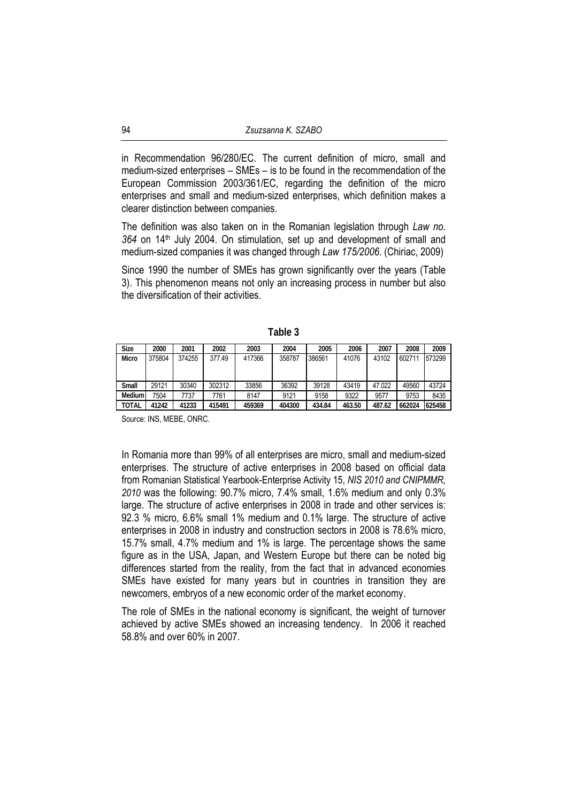in Recommendation 96/280/EC. The current definition of micro, small and medium-sized enterprises – SMEs – is to be found in the recommendation of the European Commission 2003/361/EC, regarding the definition of the micro enterprises and small and medium-sized enterprises, which definition makes a clearer distinction between companies.

The definition was also taken on in the Romanian legislation through *Law no. 364* on 14th July 2004. On stimulation, set up and development of small and medium-sized companies it was changed through *Law 175/2006*. (Chiriac, 2009)

Since 1990 the number of SMEs has grown significantly over the years (Table 3). This phenomenon means not only an increasing process in number but also the diversification of their activities.

| <b>Size</b>  | 2000   | 2001   | 2002   | 2003   | 2004   | 2005   | 2006   | 2007   | 2008   | 2009   |
|--------------|--------|--------|--------|--------|--------|--------|--------|--------|--------|--------|
| <b>Micro</b> | 375804 | 374255 | 377.49 | 417366 | 358787 | 386561 | 41076  | 43102  | 602711 | 573299 |
|              |        |        |        |        |        |        |        |        |        |        |
|              |        |        |        |        |        |        |        |        |        |        |
| Small        | 29121  | 30340  | 302312 | 33856  | 36392  | 39128  | 43419  | 47.022 | 49560  | 43724  |
| Medium       | 7504   | 7737   | 7761   | 8147   | 9121   | 9158   | 9322   | 9577   | 9753   | 8435   |
| TOTAL        | 41242  | 41233  | 415491 | 459369 | 404300 | 434.84 | 463.50 | 487.62 | 662024 | 625458 |

**Table 3** 

Source: INS, MEBE, ONRC.

In Romania more than 99% of all enterprises are micro, small and medium-sized enterprises. The structure of active enterprises in 2008 based on official data from Romanian Statistical Yearbook-Enterprise Activity 15, *NIS 2010 and CNIPMMR, 2010* was the following: 90.7% micro, 7.4% small, 1.6% medium and only 0.3% large. The structure of active enterprises in 2008 in trade and other services is: 92.3 % micro, 6.6% small 1% medium and 0.1% large. The structure of active enterprises in 2008 in industry and construction sectors in 2008 is 78.6% micro, 15.7% small, 4.7% medium and 1% is large. The percentage shows the same figure as in the USA, Japan, and Western Europe but there can be noted big differences started from the reality, from the fact that in advanced economies SMEs have existed for many years but in countries in transition they are newcomers, embryos of a new economic order of the market economy.

The role of SMEs in the national economy is significant, the weight of turnover achieved by active SMEs showed an increasing tendency. In 2006 it reached 58.8% and over 60% in 2007.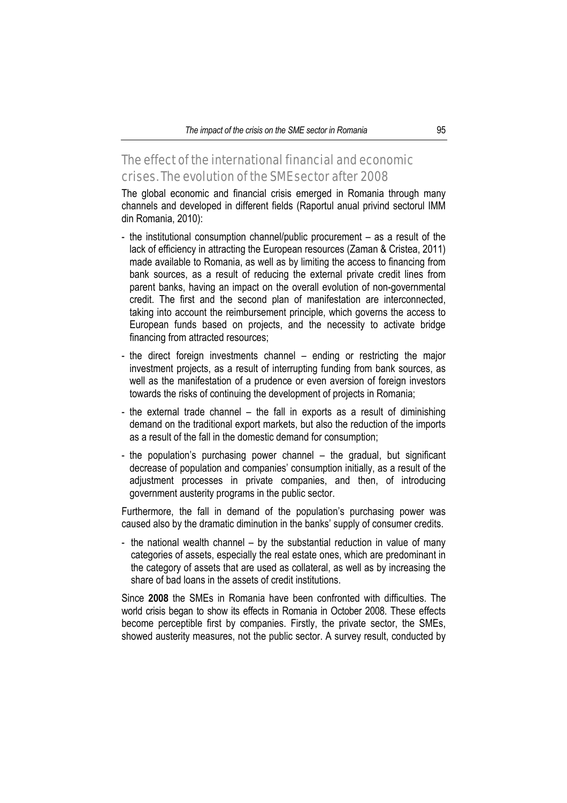# The effect of the international financial and economic crises. The evolution of the SME sector after 2008

The global economic and financial crisis emerged in Romania through many channels and developed in different fields (Raportul anual privind sectorul IMM din Romania, 2010):

- the institutional consumption channel/public procurement as a result of the lack of efficiency in attracting the European resources (Zaman & Cristea, 2011) made available to Romania, as well as by limiting the access to financing from bank sources, as a result of reducing the external private credit lines from parent banks, having an impact on the overall evolution of non-governmental credit. The first and the second plan of manifestation are interconnected, taking into account the reimbursement principle, which governs the access to European funds based on projects, and the necessity to activate bridge financing from attracted resources;
- the direct foreign investments channel  $-$  ending or restricting the major investment projects, as a result of interrupting funding from bank sources, as well as the manifestation of a prudence or even aversion of foreign investors towards the risks of continuing the development of projects in Romania;
- the external trade channel the fall in exports as a result of diminishing demand on the traditional export markets, but also the reduction of the imports as a result of the fall in the domestic demand for consumption;
- the population's purchasing power channel the gradual, but significant decrease of population and companies' consumption initially, as a result of the adjustment processes in private companies, and then, of introducing government austerity programs in the public sector.

Furthermore, the fall in demand of the population's purchasing power was caused also by the dramatic diminution in the banks' supply of consumer credits.

- the national wealth channel – by the substantial reduction in value of many categories of assets, especially the real estate ones, which are predominant in the category of assets that are used as collateral, as well as by increasing the share of bad loans in the assets of credit institutions.

Since **2008** the SMEs in Romania have been confronted with difficulties. The world crisis began to show its effects in Romania in October 2008. These effects become perceptible first by companies. Firstly, the private sector, the SMEs, showed austerity measures, not the public sector. A survey result, conducted by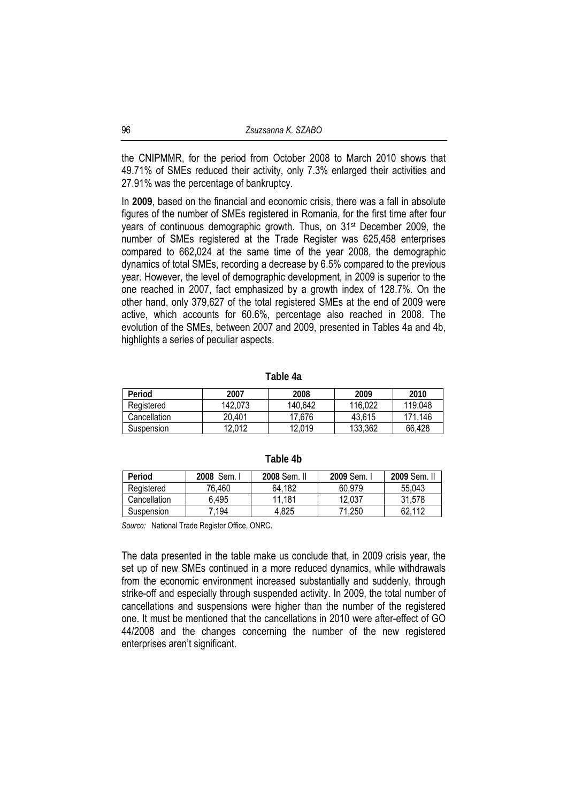the CNIPMMR, for the period from October 2008 to March 2010 shows that 49.71% of SMEs reduced their activity, only 7.3% enlarged their activities and 27.91% was the percentage of bankruptcy.

In **2009**, based on the financial and economic crisis, there was a fall in absolute figures of the number of SMEs registered in Romania, for the first time after four years of continuous demographic growth. Thus, on 31st December 2009, the number of SMEs registered at the Trade Register was 625,458 enterprises compared to 662,024 at the same time of the year 2008, the demographic dynamics of total SMEs, recording a decrease by 6.5% compared to the previous year. However, the level of demographic development, in 2009 is superior to the one reached in 2007, fact emphasized by a growth index of 128.7%. On the other hand, only 379,627 of the total registered SMEs at the end of 2009 were active, which accounts for 60.6%, percentage also reached in 2008. The evolution of the SMEs, between 2007 and 2009, presented in Tables 4a and 4b, highlights a series of peculiar aspects.

**Table 4a** 

| Period       | 2007    | 2008    | 2009    | 2010    |
|--------------|---------|---------|---------|---------|
| Registered   | 142.073 | 140.642 | 116.022 | 119,048 |
| Cancellation | 20.401  | 17.676  | 43.615  | 171.146 |
| Suspension   | 12.012  | 12.019  | 133,362 | 66,428  |

| Table 4b |  |  |
|----------|--|--|
|----------|--|--|

| Period       | 2008 Sem. I | 2008 Sem. II | 2009 Sem. | 2009 Sem. II |
|--------------|-------------|--------------|-----------|--------------|
| Registered   | 76.460      | 64.182       | 60.979    | 55.043       |
| Cancellation | 6.495       | 11.181       | 12.037    | 31.578       |
| Suspension   | 7.194       | 4.825        | 71.250    | 62.112       |

*Source:* National Trade Register Office, ONRC.

The data presented in the table make us conclude that, in 2009 crisis year, the set up of new SMEs continued in a more reduced dynamics, while withdrawals from the economic environment increased substantially and suddenly, through strike-off and especially through suspended activity. In 2009, the total number of cancellations and suspensions were higher than the number of the registered one. It must be mentioned that the cancellations in 2010 were after-effect of GO 44/2008 and the changes concerning the number of the new registered enterprises aren't significant.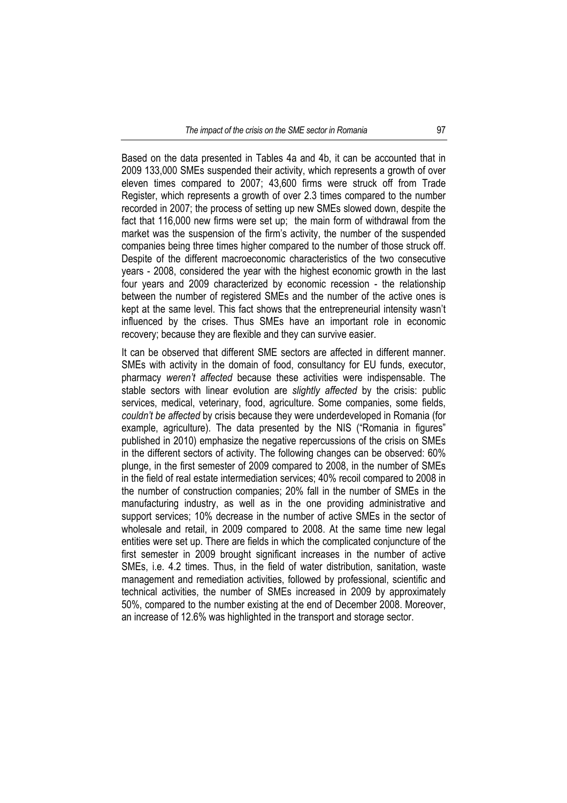Based on the data presented in Tables 4a and 4b, it can be accounted that in 2009 133,000 SMEs suspended their activity, which represents a growth of over eleven times compared to 2007; 43,600 firms were struck off from Trade Register, which represents a growth of over 2.3 times compared to the number recorded in 2007; the process of setting up new SMEs slowed down, despite the fact that 116,000 new firms were set up; the main form of withdrawal from the market was the suspension of the firm's activity, the number of the suspended companies being three times higher compared to the number of those struck off. Despite of the different macroeconomic characteristics of the two consecutive years - 2008, considered the year with the highest economic growth in the last four years and 2009 characterized by economic recession - the relationship between the number of registered SMEs and the number of the active ones is kept at the same level. This fact shows that the entrepreneurial intensity wasn't influenced by the crises. Thus SMEs have an important role in economic recovery; because they are flexible and they can survive easier.

It can be observed that different SME sectors are affected in different manner. SMEs with activity in the domain of food, consultancy for EU funds, executor, pharmacy *weren't affected* because these activities were indispensable. The stable sectors with linear evolution are *slightly affected* by the crisis: public services, medical, veterinary, food, agriculture. Some companies, some fields, *couldn't be affected* by crisis because they were underdeveloped in Romania (for example, agriculture). The data presented by the NIS ("Romania in figures" published in 2010) emphasize the negative repercussions of the crisis on SMEs in the different sectors of activity. The following changes can be observed: 60% plunge, in the first semester of 2009 compared to 2008, in the number of SMEs in the field of real estate intermediation services; 40% recoil compared to 2008 in the number of construction companies; 20% fall in the number of SMEs in the manufacturing industry, as well as in the one providing administrative and support services; 10% decrease in the number of active SMEs in the sector of wholesale and retail, in 2009 compared to 2008. At the same time new legal entities were set up. There are fields in which the complicated conjuncture of the first semester in 2009 brought significant increases in the number of active SMEs, i.e. 4.2 times. Thus, in the field of water distribution, sanitation, waste management and remediation activities, followed by professional, scientific and technical activities, the number of SMEs increased in 2009 by approximately 50%, compared to the number existing at the end of December 2008. Moreover, an increase of 12.6% was highlighted in the transport and storage sector.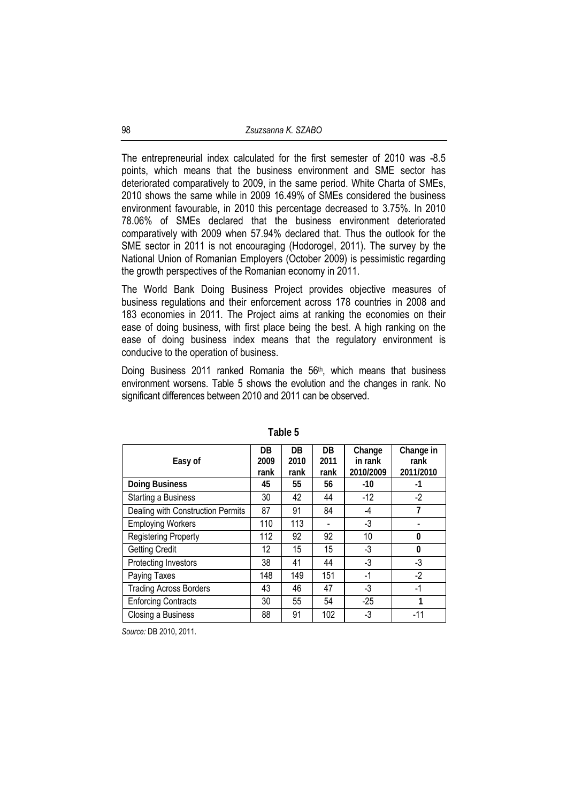The entrepreneurial index calculated for the first semester of 2010 was -8.5 points, which means that the business environment and SME sector has deteriorated comparatively to 2009, in the same period. White Charta of SMEs, 2010 shows the same while in 2009 16.49% of SMEs considered the business environment favourable, in 2010 this percentage decreased to 3.75%. In 2010 78.06% of SMEs declared that the business environment deteriorated comparatively with 2009 when 57.94% declared that. Thus the outlook for the SME sector in 2011 is not encouraging (Hodorogel, 2011). The survey by the National Union of Romanian Employers (October 2009) is pessimistic regarding the growth perspectives of the Romanian economy in 2011.

The World Bank Doing Business Project provides objective measures of business regulations and their enforcement across 178 countries in 2008 and 183 economies in 2011. The Project aims at ranking the economies on their ease of doing business, with first place being the best. A high ranking on the ease of doing business index means that the regulatory environment is conducive to the operation of business.

Doing Business 2011 ranked Romania the  $56<sup>th</sup>$ , which means that business environment worsens. Table 5 shows the evolution and the changes in rank. No significant differences between 2010 and 2011 can be observed.

| Easy of                           | DB.<br>2009<br>rank | DB.<br>2010<br>rank | <b>DB</b><br>2011<br>rank | Change<br>in rank<br>2010/2009 | Change in<br>rank<br>2011/2010 |
|-----------------------------------|---------------------|---------------------|---------------------------|--------------------------------|--------------------------------|
| <b>Doing Business</b>             | 45                  | 55                  | 56                        | $-10$                          | $-1$                           |
| <b>Starting a Business</b>        | 30                  | 42                  | 44                        | $-12$                          | $-2$                           |
| Dealing with Construction Permits | 87                  | 91                  | 84                        | -4                             | 7                              |
| <b>Employing Workers</b>          | 110                 | 113                 |                           | $-3$                           |                                |
| <b>Registering Property</b>       | 112                 | 92                  | 92                        | 10                             | $\mathbf{0}$                   |
| <b>Getting Credit</b>             | 12                  | 15                  | 15                        | -3                             | $\mathbf{0}$                   |
| Protecting Investors              | 38                  | 41                  | 44                        | -3                             | -3                             |
| Paying Taxes                      | 148                 | 149                 | 151                       | $-1$                           | $-2$                           |
| <b>Trading Across Borders</b>     | 43                  | 46                  | 47                        | -3                             | $-1$                           |
| <b>Enforcing Contracts</b>        | 30                  | 55                  | 54                        | $-25$                          | 1                              |
| Closing a Business                | 88                  | 91                  | 102                       | -3                             | $-11$                          |

**Table 5** 

*Source:* DB 2010, 2011.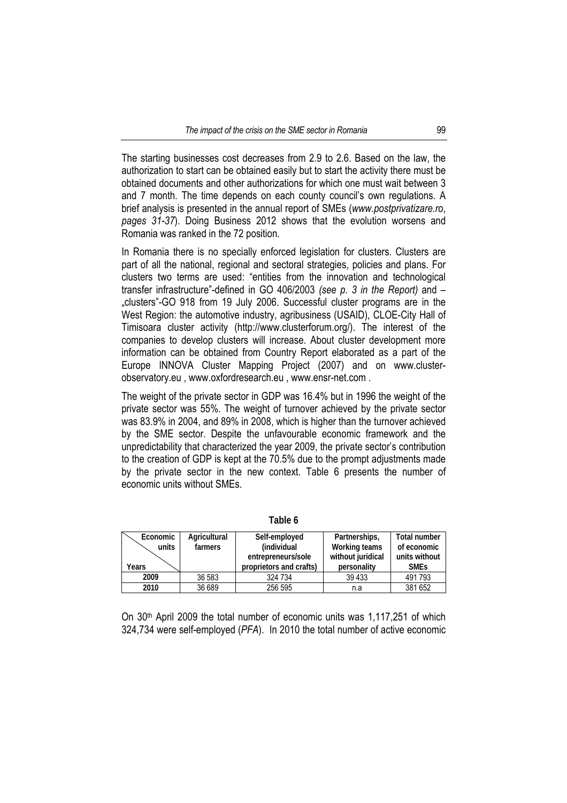The starting businesses cost decreases from 2.9 to 2.6. Based on the law, the authorization to start can be obtained easily but to start the activity there must be obtained documents and other authorizations for which one must wait between 3 and 7 month. The time depends on each county council's own regulations. A brief analysis is presented in the annual report of SMEs (*www.postprivatizare.ro*, *pages 31-37*). Doing Business 2012 shows that the evolution worsens and Romania was ranked in the 72 position.

In Romania there is no specially enforced legislation for clusters. Clusters are part of all the national, regional and sectoral strategies, policies and plans. For clusters two terms are used: "entities from the innovation and technological transfer infrastructure"-defined in GO 406/2003 *(see p. 3 in the Report)* and – "clusters"-GO 918 from 19 July 2006. Successful cluster programs are in the West Region: the automotive industry, agribusiness (USAID), CLOE-City Hall of Timisoara cluster activity (http://www.clusterforum.org/). The interest of the companies to develop clusters will increase. About cluster development more information can be obtained from Country Report elaborated as a part of the Europe INNOVA Cluster Mapping Project (2007) and on www.clusterobservatory.eu , www.oxfordresearch.eu , www.ensr-net.com .

The weight of the private sector in GDP was 16.4% but in 1996 the weight of the private sector was 55%. The weight of turnover achieved by the private sector was 83.9% in 2004, and 89% in 2008, which is higher than the turnover achieved by the SME sector. Despite the unfavourable economic framework and the unpredictability that characterized the year 2009, the private sector's contribution to the creation of GDP is kept at the 70.5% due to the prompt adjustments made by the private sector in the new context. Table 6 presents the number of economic units without SMEs.

 **Economic units Agricultural farmers Self-employed (individual entrepreneurs/sole proprietors and crafts) Partnerships, Working teams without juridical personality Total number of economic units without** 

**2009** 36 583 324 734 39 433 491 793 **2010** 36 689 256 595 n.a 381 652

**Years** 

**Table 6** 

On 30th April 2009 the total number of economic units was 1,117,251 of which 324,734 were self-employed (*PFA*). In 2010 the total number of active economic

**SMEs**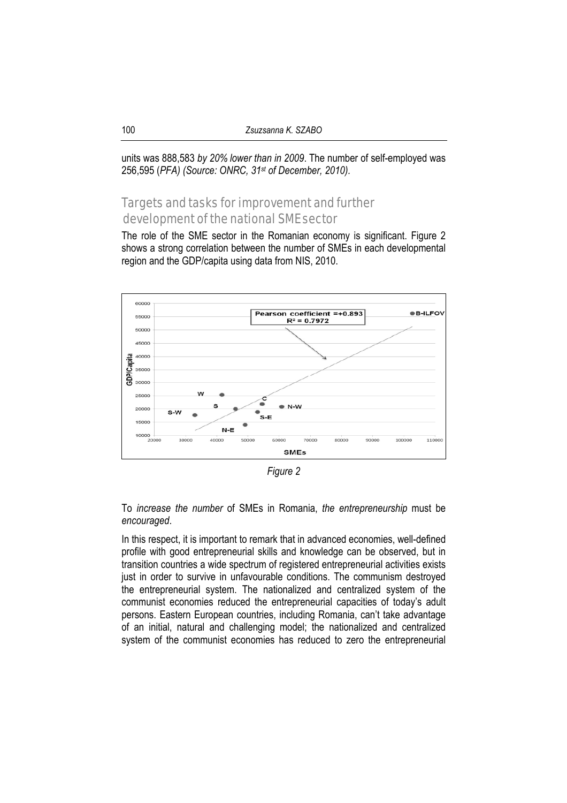units was 888,583 *by 20% lower than in 2009*. The number of self-employed was 256,595 (*PFA) (Source: ONRC, 31st of December, 2010).*

# Targets and tasks for improvement and further development of the national SME sector

The role of the SME sector in the Romanian economy is significant. Figure 2 shows a strong correlation between the number of SMEs in each developmental region and the GDP/capita using data from NIS, 2010.



*Figure 2* 

To *increase the number* of SMEs in Romania, *the entrepreneurship* must be *encouraged*.

In this respect, it is important to remark that in advanced economies, well-defined profile with good entrepreneurial skills and knowledge can be observed, but in transition countries a wide spectrum of registered entrepreneurial activities exists just in order to survive in unfavourable conditions. The communism destroyed the entrepreneurial system. The nationalized and centralized system of the communist economies reduced the entrepreneurial capacities of today's adult persons. Eastern European countries, including Romania, can't take advantage of an initial, natural and challenging model; the nationalized and centralized system of the communist economies has reduced to zero the entrepreneurial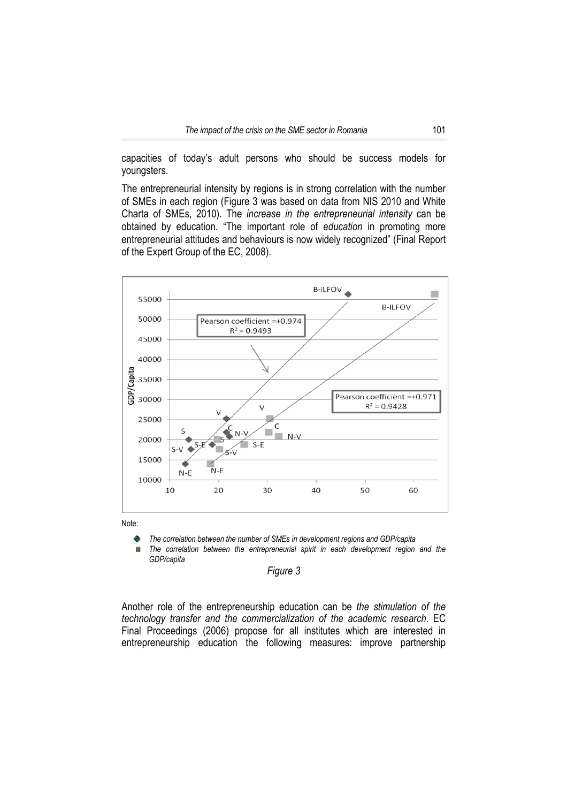capacities of today's adult persons who should be success models for youngsters.

The entrepreneurial intensity by regions is in strong correlation with the number of SMEs in each region (Figure 3 was based on data from NIS 2010 and White Charta of SMEs, 2010). The *increase in the entrepreneurial intensity* can be obtained by education. "The important role of *education* in promoting more entrepreneurial attitudes and behaviours is now widely recognized" (Final Report of the Expert Group of the EC, 2008).



Note:

*The correlation between the number of SMEs in development regions and GDP/capita*   $\bullet$ 

*The correlation between the entrepreneurial spirit in each development region and the*   $\mathbf{u}$ *GDP/capita* 

#### *Figure 3*

Another role of the entrepreneurship education can be *the stimulation of the technology transfer and the commercialization of the academic research*. EC Final Proceedings (2006) propose for all institutes which are interested in entrepreneurship education the following measures: improve partnership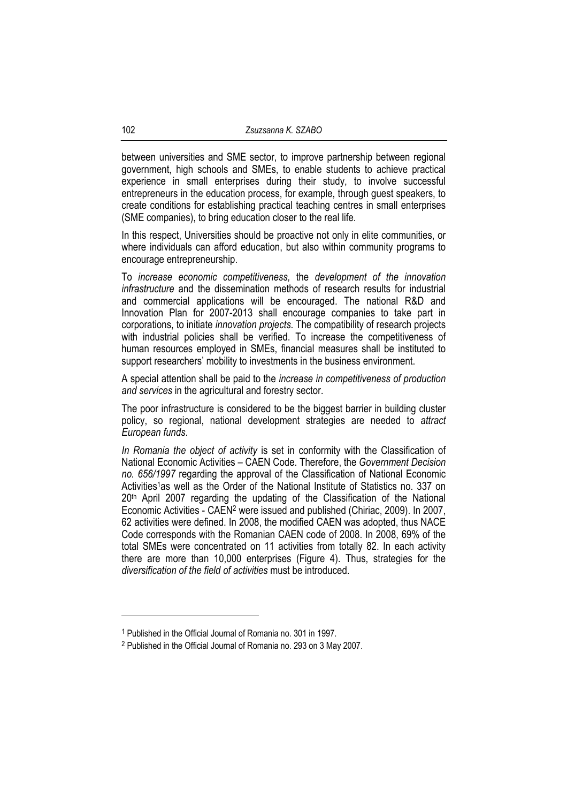between universities and SME sector, to improve partnership between regional government, high schools and SMEs, to enable students to achieve practical experience in small enterprises during their study, to involve successful entrepreneurs in the education process, for example, through guest speakers, to create conditions for establishing practical teaching centres in small enterprises (SME companies), to bring education closer to the real life.

In this respect, Universities should be proactive not only in elite communities, or where individuals can afford education, but also within community programs to encourage entrepreneurship.

To *increase economic competitiveness,* the *development of the innovation infrastructure* and the dissemination methods of research results for industrial and commercial applications will be encouraged. The national R&D and Innovation Plan for 2007-2013 shall encourage companies to take part in corporations, to initiate *innovation projects*. The compatibility of research projects with industrial policies shall be verified. To increase the competitiveness of human resources employed in SMEs, financial measures shall be instituted to support researchers' mobility to investments in the business environment.

A special attention shall be paid to the *increase in competitiveness of production and services* in the agricultural and forestry sector.

The poor infrastructure is considered to be the biggest barrier in building cluster policy, so regional, national development strategies are needed to *attract European funds*.

*In Romania the object of activity* is set in conformity with the Classification of National Economic Activities – CAEN Code. Therefore, the *Government Decision no. 656/1997* regarding the approval of the Classification of National Economic Activities<sup>1</sup>as well as the Order of the National Institute of Statistics no. 337 on 20th April 2007 regarding the updating of the Classification of the National Economic Activities - CAEN2 were issued and published (Chiriac, 2009). In 2007, 62 activities were defined. In 2008, the modified CAEN was adopted, thus NACE Code corresponds with the Romanian CAEN code of 2008. In 2008, 69% of the total SMEs were concentrated on 11 activities from totally 82. In each activity there are more than 10,000 enterprises (Figure 4). Thus, strategies for the *diversification of the field of activities* must be introduced.

l

<sup>1</sup> Published in the Official Journal of Romania no. 301 in 1997.

<sup>2</sup> Published in the Official Journal of Romania no. 293 on 3 May 2007.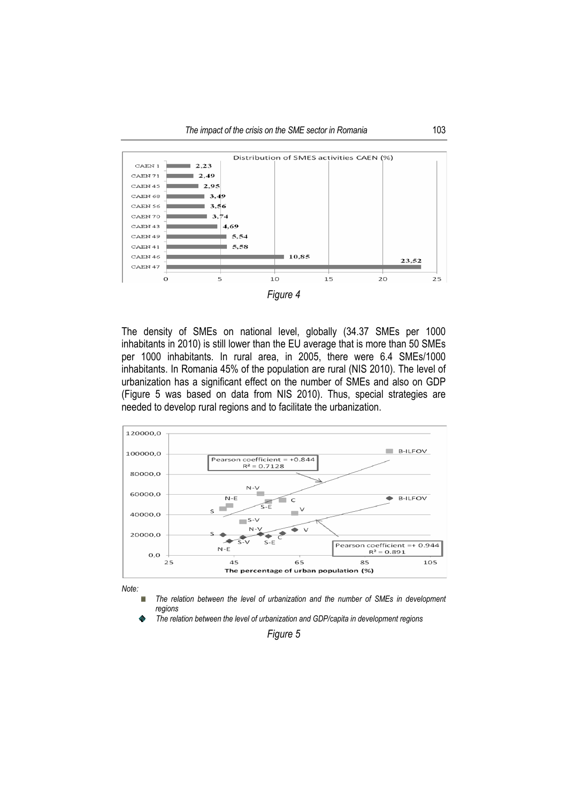

*Figure 4* 

The density of SMEs on national level, globally (34.37 SMEs per 1000 inhabitants in 2010) is still lower than the EU average that is more than 50 SMEs per 1000 inhabitants. In rural area, in 2005, there were 6.4 SMEs/1000 inhabitants. In Romania 45% of the population are rural (NIS 2010). The level of urbanization has a significant effect on the number of SMEs and also on GDP (Figure 5 was based on data from NIS 2010). Thus, special strategies are needed to develop rural regions and to facilitate the urbanization.



*Note:* 

i. *The relation between the level of urbanization and the number of SMEs in development regions* 

*The relation between the level of urbanization and GDP/capita in development regions*   $\ddot{\circ}$ 

*Figure 5*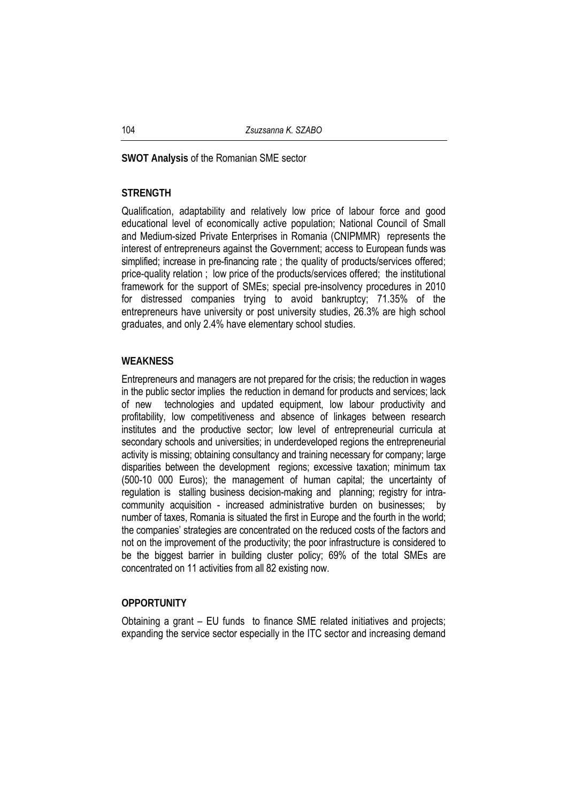#### **SWOT Analysis** of the Romanian SME sector

#### **STRENGTH**

Qualification, adaptability and relatively low price of labour force and good educational level of economically active population; National Council of Small and Medium-sized Private Enterprises in Romania (CNIPMMR) represents the interest of entrepreneurs against the Government; access to European funds was simplified; increase in pre-financing rate ; the quality of products/services offered; price-quality relation ; low price of the products/services offered; the institutional framework for the support of SMEs; special pre-insolvency procedures in 2010 for distressed companies trying to avoid bankruptcy; 71.35% of the entrepreneurs have university or post university studies, 26.3% are high school graduates, and only 2.4% have elementary school studies.

#### **WEAKNESS**

Entrepreneurs and managers are not prepared for the crisis; the reduction in wages in the public sector implies the reduction in demand for products and services; lack of new technologies and updated equipment, low labour productivity and profitability, low competitiveness and absence of linkages between research institutes and the productive sector; low level of entrepreneurial curricula at secondary schools and universities; in underdeveloped regions the entrepreneurial activity is missing; obtaining consultancy and training necessary for company; large disparities between the development regions; excessive taxation; minimum tax (500-10 000 Euros); the management of human capital; the uncertainty of regulation is stalling business decision-making and planning; registry for intracommunity acquisition - increased administrative burden on businesses; by number of taxes, Romania is situated the first in Europe and the fourth in the world; the companies' strategies are concentrated on the reduced costs of the factors and not on the improvement of the productivity; the poor infrastructure is considered to be the biggest barrier in building cluster policy; 69% of the total SMEs are concentrated on 11 activities from all 82 existing now.

#### **OPPORTUNITY**

Obtaining a grant – EU funds to finance SME related initiatives and projects; expanding the service sector especially in the ITC sector and increasing demand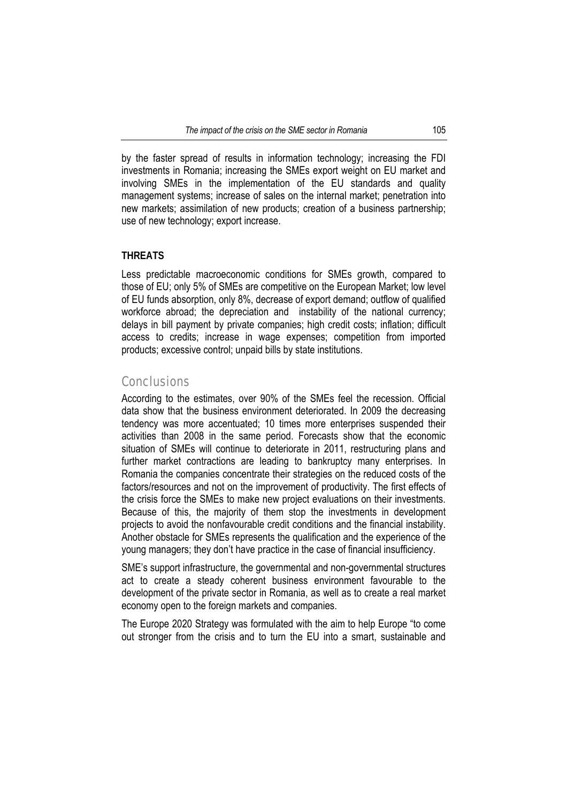by the faster spread of results in information technology; increasing the FDI investments in Romania; increasing the SMEs export weight on EU market and involving SMEs in the implementation of the EU standards and quality management systems; increase of sales on the internal market; penetration into new markets; assimilation of new products; creation of a business partnership; use of new technology; export increase.

# **THREATS**

Less predictable macroeconomic conditions for SMEs growth, compared to those of EU; only 5% of SMEs are competitive on the European Market; low level of EU funds absorption, only 8%, decrease of export demand; outflow of qualified workforce abroad; the depreciation and instability of the national currency; delays in bill payment by private companies; high credit costs; inflation; difficult access to credits; increase in wage expenses; competition from imported products; excessive control; unpaid bills by state institutions.

# **Conclusions**

According to the estimates, over 90% of the SMEs feel the recession. Official data show that the business environment deteriorated. In 2009 the decreasing tendency was more accentuated; 10 times more enterprises suspended their activities than 2008 in the same period. Forecasts show that the economic situation of SMEs will continue to deteriorate in 2011, restructuring plans and further market contractions are leading to bankruptcy many enterprises. In Romania the companies concentrate their strategies on the reduced costs of the factors/resources and not on the improvement of productivity. The first effects of the crisis force the SMEs to make new project evaluations on their investments. Because of this, the majority of them stop the investments in development projects to avoid the nonfavourable credit conditions and the financial instability. Another obstacle for SMEs represents the qualification and the experience of the young managers; they don't have practice in the case of financial insufficiency.

SME's support infrastructure, the governmental and non-governmental structures act to create a steady coherent business environment favourable to the development of the private sector in Romania, as well as to create a real market economy open to the foreign markets and companies.

The Europe 2020 Strategy was formulated with the aim to help Europe "to come out stronger from the crisis and to turn the EU into a smart, sustainable and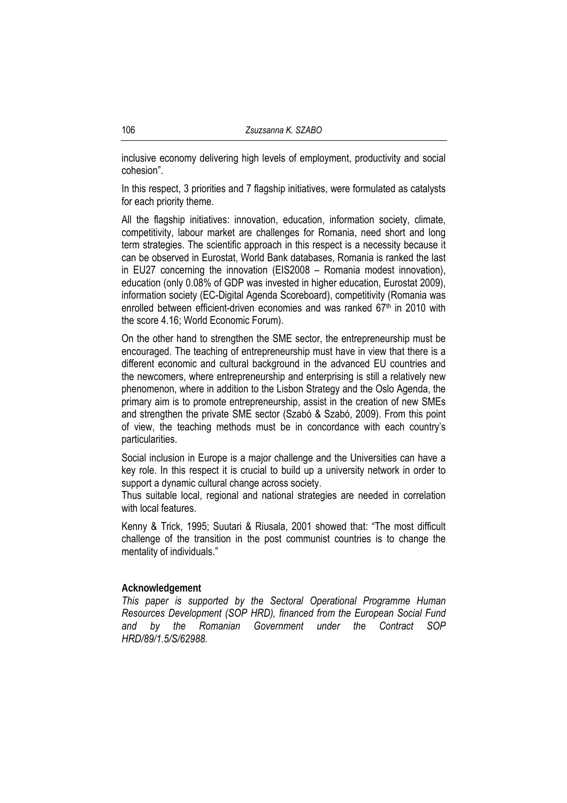inclusive economy delivering high levels of employment, productivity and social cohesion".

In this respect, 3 priorities and 7 flagship initiatives, were formulated as catalysts for each priority theme.

All the flagship initiatives: innovation, education, information society, climate, competitivity, labour market are challenges for Romania, need short and long term strategies. The scientific approach in this respect is a necessity because it can be observed in Eurostat, World Bank databases, Romania is ranked the last in EU27 concerning the innovation (EIS2008 – Romania modest innovation), education (only 0.08% of GDP was invested in higher education, Eurostat 2009), information society (EC-Digital Agenda Scoreboard), competitivity (Romania was enrolled between efficient-driven economies and was ranked 67<sup>th</sup> in 2010 with the score 4.16; World Economic Forum).

On the other hand to strengthen the SME sector, the entrepreneurship must be encouraged. The teaching of entrepreneurship must have in view that there is a different economic and cultural background in the advanced EU countries and the newcomers, where entrepreneurship and enterprising is still a relatively new phenomenon, where in addition to the Lisbon Strategy and the Oslo Agenda, the primary aim is to promote entrepreneurship, assist in the creation of new SMEs and strengthen the private SME sector (Szabó & Szabó, 2009). From this point of view, the teaching methods must be in concordance with each country's particularities.

Social inclusion in Europe is a major challenge and the Universities can have a key role. In this respect it is crucial to build up a university network in order to support a dynamic cultural change across society.

Thus suitable local, regional and national strategies are needed in correlation with local features.

Kenny & Trick, 1995; Suutari & Riusala, 2001 showed that: "The most difficult challenge of the transition in the post communist countries is to change the mentality of individuals."

#### **Acknowledgement**

*This paper is supported by the Sectoral Operational Programme Human Resources Development (SOP HRD), financed from the European Social Fund and by the Romanian Government under the Contract SOP HRD/89/1.5/S/62988.*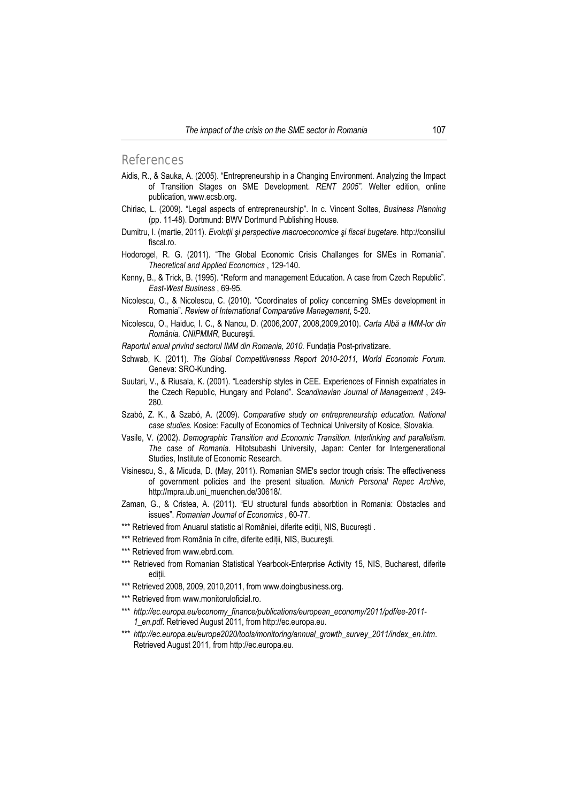#### References

- Aidis, R., & Sauka, A. (2005). "Entrepreneurship in a Changing Environment. Analyzing the Impact of Transition Stages on SME Development. *RENT 2005".* Welter edition, online publication, www.ecsb.org.
- Chiriac, L. (2009). "Legal aspects of entrepreneurship". In c. Vincent Soltes, *Business Planning* (pp. 11-48). Dortmund: BWV Dortmund Publishing House.
- Dumitru, I. (martie, 2011). *Evoluţii şi perspective macroeconomice şi fiscal bugetare.* http://consiliul fiscal.ro.
- Hodorogel, R. G. (2011). "The Global Economic Crisis Challanges for SMEs in Romania". *Theoretical and Applied Economics* , 129-140.
- Kenny, B., & Trick, B. (1995). "Reform and management Education. A case from Czech Republic". *East-West Business* , 69-95.
- Nicolescu, O., & Nicolescu, C. (2010). "Coordinates of policy concerning SMEs development in Romania". *Review of International Comparative Management*, 5-20.
- Nicolescu, O., Haiduc, I. C., & Nancu, D. (2006,2007, 2008,2009,2010). *Carta Albă a IMM-lor din România. CNIPMMR*, Bucureşti.
- *Raportul anual privind sectorul IMM din Romania, 2010.* Fundaţia Post-privatizare.
- Schwab, K. (2011). *The Global Competitiveness Report 2010-2011, World Economic Forum.* Geneva: SRO-Kunding.
- Suutari, V., & Riusala, K. (2001). "Leadership styles in CEE. Experiences of Finnish expatriates in the Czech Republic, Hungary and Poland". *Scandinavian Journal of Management* , 249- 280.
- Szabó, Z. K., & Szabó, A. (2009). *Comparative study on entrepreneurship education. National case studies.* Kosice: Faculty of Economics of Technical University of Kosice, Slovakia.
- Vasile, V. (2002). *Demographic Transition and Economic Transition. Interlinking and parallelism. The case of Romania.* Hitotsubashi University, Japan: Center for Intergenerational Studies, Institute of Economic Research.
- Visinescu, S., & Micuda, D. (May, 2011). Romanian SME's sector trough crisis: The effectiveness of government policies and the present situation. *Munich Personal Repec Archive*, http://mpra.ub.uni\_muenchen.de/30618/.
- Zaman, G., & Cristea, A. (2011). "EU structural funds absorbtion in Romania: Obstacles and issues". *Romanian Journal of Economics* , 60-77.
- \*\*\* Retrieved from Anuarul statistic al României, diferite ediții, NIS, București .
- \*\*\* Retrieved from România în cifre, diferite ediţii, NIS, Bucureşti.
- \*\*\* Retrieved from www.ebrd.com.
- \*\*\* Retrieved from Romanian Statistical Yearbook-Enterprise Activity 15, NIS, Bucharest, diferite ediții.
- \*\*\* Retrieved 2008, 2009, 2010, 2011, from www.doingbusiness.org.
- \*\*\* Retrieved from www.monitoruloficial.ro.
- \*\*\* *http://ec.europa.eu/economy\_finance/publications/european\_economy/2011/pdf/ee-2011- 1\_en.pdf*. Retrieved August 2011, from http://ec.europa.eu.
- \*\*\* *http://ec.europa.eu/europe2020/tools/monitoring/annual\_growth\_survey\_2011/index\_en.htm*. Retrieved August 2011, from http://ec.europa.eu.